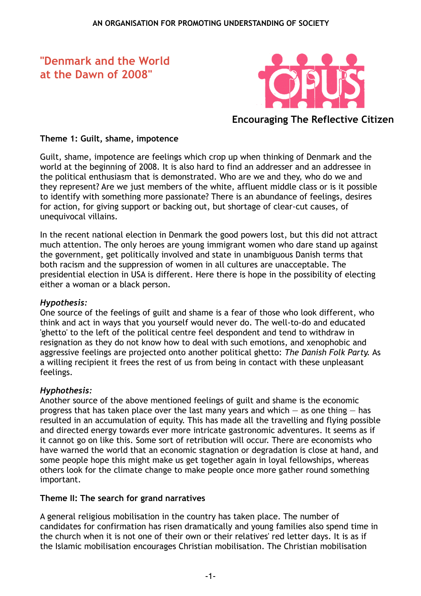# **"Denmark and the World at the Dawn of 2008"**



**Encouraging The Reflective Citizen**

## **Theme 1: Guilt, shame, impotence**

Guilt, shame, impotence are feelings which crop up when thinking of Denmark and the world at the beginning of 2008. It is also hard to find an addresser and an addressee in the political enthusiasm that is demonstrated. Who are we and they, who do we and they represent? Are we just members of the white, affluent middle class or is it possible to identify with something more passionate? There is an abundance of feelings, desires for action, for giving support or backing out, but shortage of clear-cut causes, of unequivocal villains.

In the recent national election in Denmark the good powers lost, but this did not attract much attention. The only heroes are young immigrant women who dare stand up against the government, get politically involved and state in unambiguous Danish terms that both racism and the suppression of women in all cultures are unacceptable. The presidential election in USA is different. Here there is hope in the possibility of electing either a woman or a black person.

## *Hypothesis:*

One source of the feelings of guilt and shame is a fear of those who look different, who think and act in ways that you yourself would never do. The well-to-do and educated 'ghetto' to the left of the political centre feel despondent and tend to withdraw in resignation as they do not know how to deal with such emotions, and xenophobic and aggressive feelings are projected onto another political ghetto: *The Danish Folk Party.* As a willing recipient it frees the rest of us from being in contact with these unpleasant feelings.

#### *Hyphothesis:*

Another source of the above mentioned feelings of guilt and shame is the economic progress that has taken place over the last many years and which  $-$  as one thing  $-$  has resulted in an accumulation of equity. This has made all the travelling and flying possible and directed energy towards ever more intricate gastronomic adventures. It seems as if it cannot go on like this. Some sort of retribution will occur. There are economists who have warned the world that an economic stagnation or degradation is close at hand, and some people hope this might make us get together again in loyal fellowships, whereas others look for the climate change to make people once more gather round something important.

#### **Theme II: The search for grand narratives**

A general religious mobilisation in the country has taken place. The number of candidates for confirmation has risen dramatically and young families also spend time in the church when it is not one of their own or their relatives' red letter days. It is as if the Islamic mobilisation encourages Christian mobilisation. The Christian mobilisation